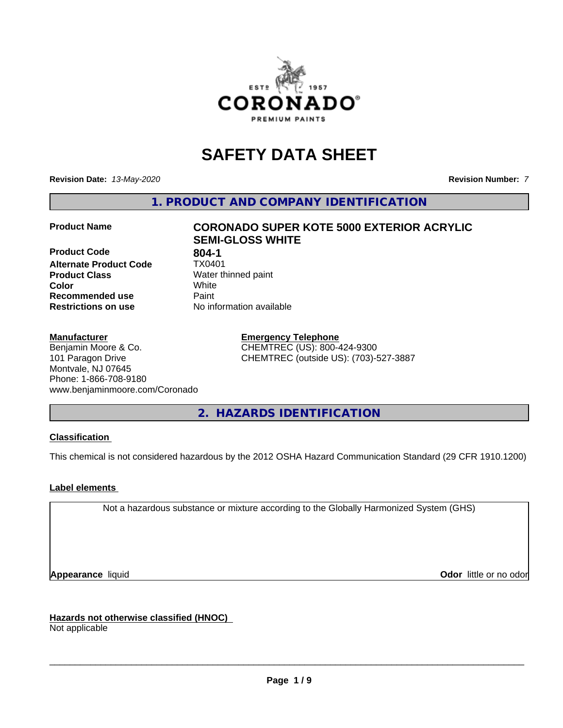

## **SAFETY DATA SHEET**

**Revision Date:** *13-May-2020* **Revision Number:** *7*

**1. PRODUCT AND COMPANY IDENTIFICATION**

**Product Code 604-1<br>Alternate Product Code 61 TX0401 Alternate Product Code Product Class** Water thinned paint<br> **Color** White **Color** White **Recommended use Caint Restrictions on use** No information available

## **Product Name CORONADO SUPER KOTE 5000 EXTERIOR ACRYLIC SEMI-GLOSS WHITE**

**Manufacturer**

Benjamin Moore & Co. 101 Paragon Drive Montvale, NJ 07645 Phone: 1-866-708-9180 www.benjaminmoore.com/Coronado

# **Emergency Telephone**

CHEMTREC (US): 800-424-9300 CHEMTREC (outside US): (703)-527-3887

**2. HAZARDS IDENTIFICATION**

#### **Classification**

This chemical is not considered hazardous by the 2012 OSHA Hazard Communication Standard (29 CFR 1910.1200)

#### **Label elements**

Not a hazardous substance or mixture according to the Globally Harmonized System (GHS)

**Appearance** liquid **Contract Contract Contract Contract Contract Contract Contract Contract Contract Contract Contract Contract Contract Contract Contract Contract Contract Contract Contract Contract Contract Contract Con** 

**Hazards not otherwise classified (HNOC)**

Not applicable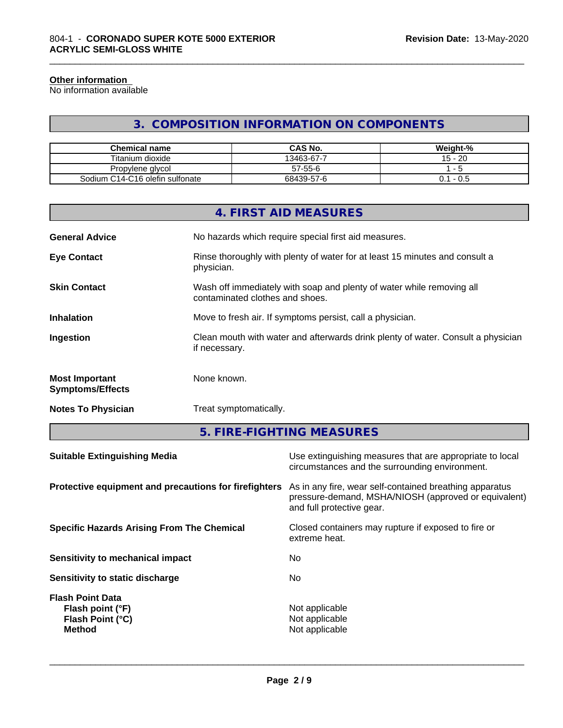#### **Other information**

г

No information available

## **3. COMPOSITION INFORMATION ON COMPONENTS**

\_\_\_\_\_\_\_\_\_\_\_\_\_\_\_\_\_\_\_\_\_\_\_\_\_\_\_\_\_\_\_\_\_\_\_\_\_\_\_\_\_\_\_\_\_\_\_\_\_\_\_\_\_\_\_\_\_\_\_\_\_\_\_\_\_\_\_\_\_\_\_\_\_\_\_\_\_\_\_\_\_\_\_\_\_\_\_\_\_\_\_\_\_

| <b>Chemical name</b>            | CAS No.    | Weight-%    |
|---------------------------------|------------|-------------|
| Titanium dioxide                | 13463-67-7 | $15 - 20$   |
| Propylene glycol                | 57-55-6    |             |
| Sodium C14-C16 olefin sulfonate | 68439-57-6 | - 0.5<br>J. |

|                                                  | 4. FIRST AID MEASURES                                                                                    |
|--------------------------------------------------|----------------------------------------------------------------------------------------------------------|
| <b>General Advice</b>                            | No hazards which require special first aid measures.                                                     |
| <b>Eye Contact</b>                               | Rinse thoroughly with plenty of water for at least 15 minutes and consult a<br>physician.                |
| <b>Skin Contact</b>                              | Wash off immediately with soap and plenty of water while removing all<br>contaminated clothes and shoes. |
| <b>Inhalation</b>                                | Move to fresh air. If symptoms persist, call a physician.                                                |
| Ingestion                                        | Clean mouth with water and afterwards drink plenty of water. Consult a physician<br>if necessary.        |
| <b>Most Important</b><br><b>Symptoms/Effects</b> | None known.                                                                                              |
| <b>Notes To Physician</b>                        | Treat symptomatically.                                                                                   |
|                                                  |                                                                                                          |

**5. FIRE-FIGHTING MEASURES**

| <b>Suitable Extinguishing Media</b>                                              | Use extinguishing measures that are appropriate to local<br>circumstances and the surrounding environment.                                   |
|----------------------------------------------------------------------------------|----------------------------------------------------------------------------------------------------------------------------------------------|
| Protective equipment and precautions for firefighters                            | As in any fire, wear self-contained breathing apparatus<br>pressure-demand, MSHA/NIOSH (approved or equivalent)<br>and full protective gear. |
| <b>Specific Hazards Arising From The Chemical</b>                                | Closed containers may rupture if exposed to fire or<br>extreme heat.                                                                         |
| <b>Sensitivity to mechanical impact</b>                                          | No.                                                                                                                                          |
| Sensitivity to static discharge                                                  | No.                                                                                                                                          |
| <b>Flash Point Data</b><br>Flash point (°F)<br>Flash Point (°C)<br><b>Method</b> | Not applicable<br>Not applicable<br>Not applicable                                                                                           |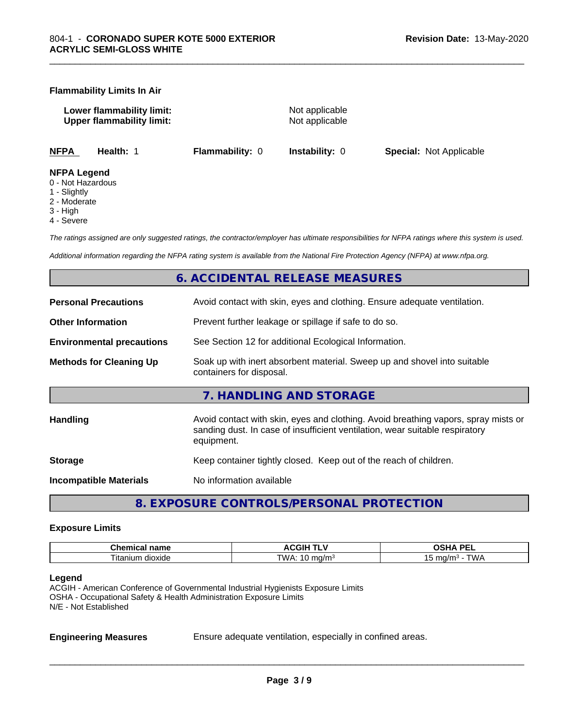#### **Flammability Limits In Air**

**Lower flammability limit:** Not applicable **Upper flammability limit:** Not applicable

\_\_\_\_\_\_\_\_\_\_\_\_\_\_\_\_\_\_\_\_\_\_\_\_\_\_\_\_\_\_\_\_\_\_\_\_\_\_\_\_\_\_\_\_\_\_\_\_\_\_\_\_\_\_\_\_\_\_\_\_\_\_\_\_\_\_\_\_\_\_\_\_\_\_\_\_\_\_\_\_\_\_\_\_\_\_\_\_\_\_\_\_\_

**NFPA Health:** 1 **Flammability:** 0 **Instability:** 0 **Special:** Not Applicable

- **NFPA Legend**
- 0 Not Hazardous
- 1 Slightly
- 2 Moderate
- 3 High
- 4 Severe

*The ratings assigned are only suggested ratings, the contractor/employer has ultimate responsibilities for NFPA ratings where this system is used.*

*Additional information regarding the NFPA rating system is available from the National Fire Protection Agency (NFPA) at www.nfpa.org.*

#### **6. ACCIDENTAL RELEASE MEASURES**

| <b>Personal Precautions</b>      | Avoid contact with skin, eyes and clothing. Ensure adequate ventilation.                                                                                                         |
|----------------------------------|----------------------------------------------------------------------------------------------------------------------------------------------------------------------------------|
| <b>Other Information</b>         | Prevent further leakage or spillage if safe to do so.                                                                                                                            |
| <b>Environmental precautions</b> | See Section 12 for additional Ecological Information.                                                                                                                            |
| <b>Methods for Cleaning Up</b>   | Soak up with inert absorbent material. Sweep up and shovel into suitable<br>containers for disposal.                                                                             |
|                                  | 7. HANDLING AND STORAGE                                                                                                                                                          |
| Handling                         | Avoid contact with skin, eyes and clothing. Avoid breathing vapors, spray mists or<br>sanding dust. In case of insufficient ventilation, wear suitable respiratory<br>equipment. |
| <b>Storage</b>                   | Keep container tightly closed. Keep out of the reach of children.                                                                                                                |
| <b>Incompatible Materials</b>    | No information available                                                                                                                                                         |
|                                  |                                                                                                                                                                                  |

**8. EXPOSURE CONTROLS/PERSONAL PROTECTION**

#### **Exposure Limits**

| Chemic<br>name<br>.  | <b>ACGIH <sup>-</sup></b><br>.          | <b>DEI</b><br>n<br>--<br>-- |
|----------------------|-----------------------------------------|-----------------------------|
| l itanium<br>dioxide | TWA.<br>ma/m<br>$\cdot$ in m<br>$\cdot$ | ma/m∘<br>VV A<br>~          |

#### **Legend**

ACGIH - American Conference of Governmental Industrial Hygienists Exposure Limits OSHA - Occupational Safety & Health Administration Exposure Limits N/E - Not Established

**Engineering Measures** Ensure adequate ventilation, especially in confined areas.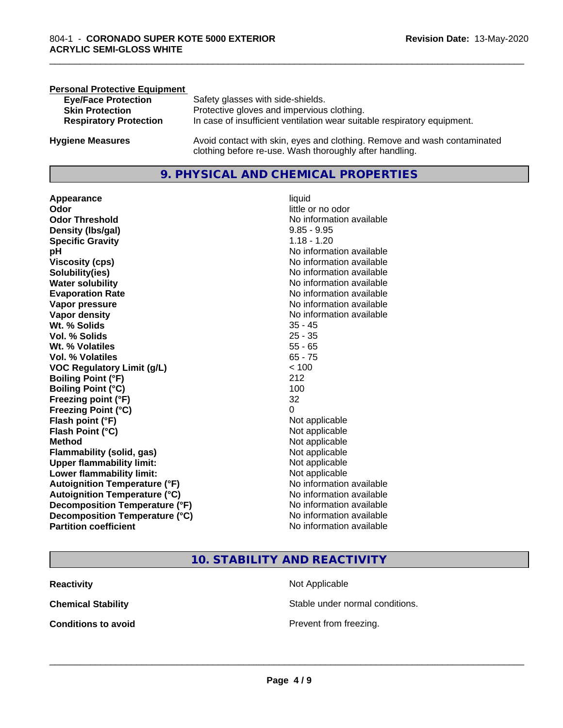| <b>Personal Protective Equipment</b> |                                                                                                                                     |
|--------------------------------------|-------------------------------------------------------------------------------------------------------------------------------------|
| <b>Eye/Face Protection</b>           | Safety glasses with side-shields.                                                                                                   |
| <b>Skin Protection</b>               | Protective gloves and impervious clothing.                                                                                          |
| <b>Respiratory Protection</b>        | In case of insufficient ventilation wear suitable respiratory equipment.                                                            |
| <b>Hygiene Measures</b>              | Avoid contact with skin, eyes and clothing. Remove and wash contaminated<br>clothing before re-use. Wash thoroughly after handling. |

#### **9. PHYSICAL AND CHEMICAL PROPERTIES**

**Appearance** liquid **Odor** little or no odor **Odor Threshold**<br> **Density (Ibs/gal)**<br> **Density (Ibs/gal)**<br> **No information available**<br>  $9.85 - 9.95$ **Density (lbs/gal) Specific Gravity** 1.18 - 1.20 **pH pH**  $\blacksquare$ **Viscosity (cps)** <br> **Viscosity (cps)** No information available<br>
No information available<br>
No information available **Solubility(ies)**<br> **No information available**<br> **Water solubility**<br> **Water solubility Evaporation Rate Evaporation Rate No information available Vapor pressure** No information available No information available **Vapor density**<br> **Vapor density**<br> **Wt.** % Solids<br>
Wt. % Solids Wt. % Solids **Vol. % Solids** 25 - 35 **Wt. % Volatiles** 55 - 65 **Vol. % Volatiles** 65 - 75 **VOC Regulatory Limit (g/L)** < 100 **Boiling Point (°F)** 212 **Boiling Point (°C)** 100 **Freezing point (°F)** 32 **Freezing Point (°C)** 0 **Flash point (°F)**<br> **Flash Point (°C)**<br> **Flash Point (°C)**<br> **C Flash Point (°C) Method** Not applicable not applicable not applicable not applicable not applicable not applicable not applicable not applicable not applicable not applicable not applicable not applicable not applicable not applicable not **Flammability (solid, gas)**<br> **Upper flammability limit:**<br>
Upper flammability limit:<br>  $\begin{array}{ccc}\n\bullet & \bullet & \bullet \\
\bullet & \bullet & \bullet\n\end{array}$ **Upper flammability limit: Lower flammability limit:** Not applicable **Autoignition Temperature (°F)** No information available **Autoignition Temperature (°C)** No information available **Decomposition Temperature (°F)** No information available<br> **Decomposition Temperature (°C)** No information available **Decomposition Temperature (°C)**<br>Partition coefficient

**No information available No information available** 

\_\_\_\_\_\_\_\_\_\_\_\_\_\_\_\_\_\_\_\_\_\_\_\_\_\_\_\_\_\_\_\_\_\_\_\_\_\_\_\_\_\_\_\_\_\_\_\_\_\_\_\_\_\_\_\_\_\_\_\_\_\_\_\_\_\_\_\_\_\_\_\_\_\_\_\_\_\_\_\_\_\_\_\_\_\_\_\_\_\_\_\_\_

#### **10. STABILITY AND REACTIVITY**

| <b>Reactivity</b>          | Not Applicable         |
|----------------------------|------------------------|
| <b>Chemical Stability</b>  | Stable under normal c  |
| <b>Conditions to avoid</b> | Prevent from freezing. |

Stable under normal conditions.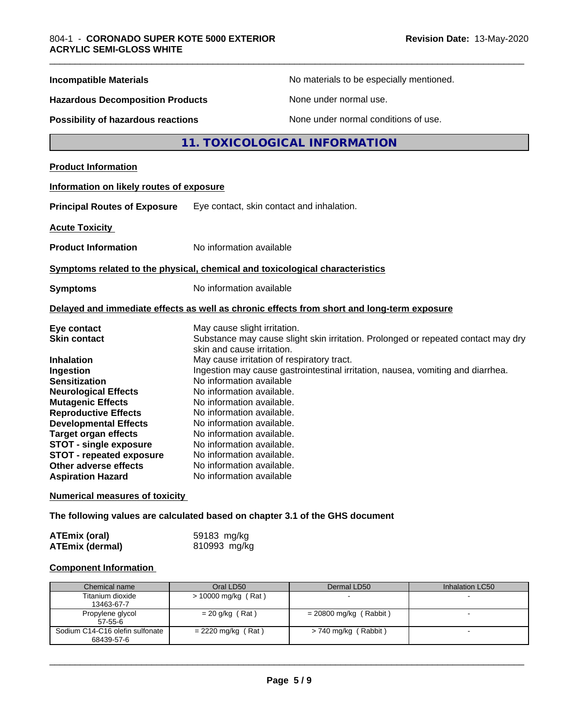| <b>Incompatible Materials</b>            | No materials to be especially mentioned.                                                                        |
|------------------------------------------|-----------------------------------------------------------------------------------------------------------------|
| <b>Hazardous Decomposition Products</b>  | None under normal use.                                                                                          |
| Possibility of hazardous reactions       | None under normal conditions of use.                                                                            |
|                                          | 11. TOXICOLOGICAL INFORMATION                                                                                   |
| <b>Product Information</b>               |                                                                                                                 |
| Information on likely routes of exposure |                                                                                                                 |
| <b>Principal Routes of Exposure</b>      | Eye contact, skin contact and inhalation.                                                                       |
| <b>Acute Toxicity</b>                    |                                                                                                                 |
| <b>Product Information</b>               | No information available                                                                                        |
|                                          | Symptoms related to the physical, chemical and toxicological characteristics                                    |
| <b>Symptoms</b>                          | No information available                                                                                        |
|                                          | Delayed and immediate effects as well as chronic effects from short and long-term exposure                      |
| Eye contact                              | May cause slight irritation.                                                                                    |
| <b>Skin contact</b>                      | Substance may cause slight skin irritation. Prolonged or repeated contact may dry<br>skin and cause irritation. |
| <b>Inhalation</b>                        | May cause irritation of respiratory tract.                                                                      |
| Ingestion                                | Ingestion may cause gastrointestinal irritation, nausea, vomiting and diarrhea.                                 |
| <b>Sensitization</b>                     | No information available                                                                                        |
| <b>Neurological Effects</b>              | No information available.                                                                                       |
| <b>Mutagenic Effects</b>                 | No information available.                                                                                       |
| <b>Reproductive Effects</b>              | No information available.                                                                                       |
| <b>Developmental Effects</b>             | No information available.                                                                                       |
| <b>Target organ effects</b>              | No information available.                                                                                       |
| <b>STOT - single exposure</b>            | No information available.                                                                                       |
| <b>STOT - repeated exposure</b>          | No information available.                                                                                       |
| Other adverse effects                    | No information available.                                                                                       |
| <b>Aspiration Hazard</b>                 | No information available                                                                                        |
| <b>Numerical measures of toxicity</b>    |                                                                                                                 |
|                                          | The following values are calculated based on chapter 3.1 of the GHS document                                    |

| <b>ATEmix (oral)</b>   | 59183 mg/kg  |
|------------------------|--------------|
| <b>ATEmix (dermal)</b> | 810993 mg/kg |

### **Component Information**

| Chemical name                   | Oral LD50            | Dermal LD50              | Inhalation LC50 |
|---------------------------------|----------------------|--------------------------|-----------------|
| Titanium dioxide                | > 10000 mg/kg (Rat)  |                          |                 |
| 13463-67-7                      |                      |                          |                 |
| Propylene glycol                | $= 20$ g/kg (Rat)    | $= 20800$ mg/kg (Rabbit) |                 |
| $57-55-6$                       |                      |                          |                 |
| Sodium C14-C16 olefin sulfonate | $= 2220$ mg/kg (Rat) | > 740 mg/kg (Rabbit)     |                 |
| 68439-57-6                      |                      |                          |                 |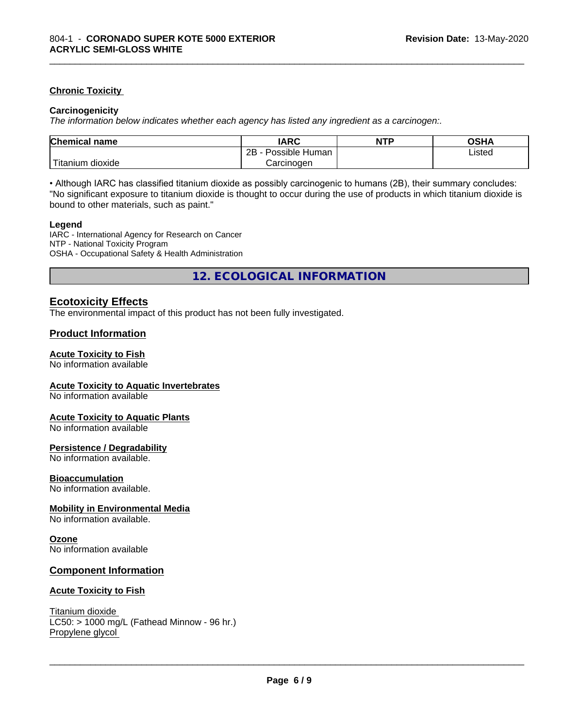#### **Chronic Toxicity**

#### **Carcinogenicity**

*The information below indicateswhether each agency has listed any ingredient as a carcinogen:.*

| <b>Chemical name</b>              | <b>IARC</b>                    | <b>NTP</b> | OSHA   |  |
|-----------------------------------|--------------------------------|------------|--------|--|
|                                   | . .<br>2B<br>Possible<br>Human |            | Listed |  |
| $-1$<br>dioxide<br><b>itanium</b> | Carcinogen                     |            |        |  |

\_\_\_\_\_\_\_\_\_\_\_\_\_\_\_\_\_\_\_\_\_\_\_\_\_\_\_\_\_\_\_\_\_\_\_\_\_\_\_\_\_\_\_\_\_\_\_\_\_\_\_\_\_\_\_\_\_\_\_\_\_\_\_\_\_\_\_\_\_\_\_\_\_\_\_\_\_\_\_\_\_\_\_\_\_\_\_\_\_\_\_\_\_

• Although IARC has classified titanium dioxide as possibly carcinogenic to humans (2B), their summary concludes: "No significant exposure to titanium dioxide is thought to occur during the use of products in which titanium dioxide is bound to other materials, such as paint."

#### **Legend**

IARC - International Agency for Research on Cancer NTP - National Toxicity Program OSHA - Occupational Safety & Health Administration

**12. ECOLOGICAL INFORMATION**

#### **Ecotoxicity Effects**

The environmental impact of this product has not been fully investigated.

#### **Product Information**

#### **Acute Toxicity to Fish**

No information available

#### **Acute Toxicity to Aquatic Invertebrates**

No information available

#### **Acute Toxicity to Aquatic Plants**

No information available

#### **Persistence / Degradability**

No information available.

#### **Bioaccumulation**

No information available.

#### **Mobility in Environmental Media**

No information available.

#### **Ozone**

No information available

#### **Component Information**

#### **Acute Toxicity to Fish**

Titanium dioxide  $LC50:$  > 1000 mg/L (Fathead Minnow - 96 hr.) Propylene glycol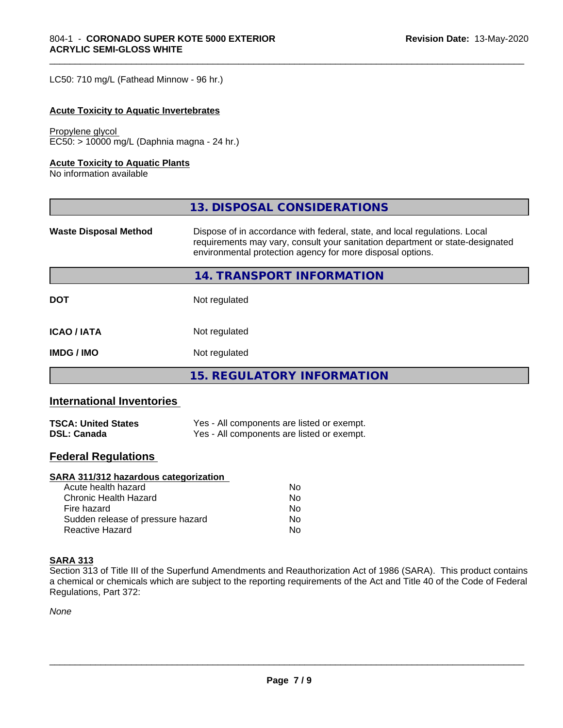LC50: 710 mg/L (Fathead Minnow - 96 hr.)

#### **Acute Toxicity to Aquatic Invertebrates**

Propylene glycol EC50: > 10000 mg/L (Daphnia magna - 24 hr.)

#### **Acute Toxicity to Aquatic Plants**

No information available

|                              | 13. DISPOSAL CONSIDERATIONS                                                                                                                                                                                               |
|------------------------------|---------------------------------------------------------------------------------------------------------------------------------------------------------------------------------------------------------------------------|
| <b>Waste Disposal Method</b> | Dispose of in accordance with federal, state, and local regulations. Local<br>requirements may vary, consult your sanitation department or state-designated<br>environmental protection agency for more disposal options. |
|                              | 14. TRANSPORT INFORMATION                                                                                                                                                                                                 |
| <b>DOT</b>                   | Not regulated                                                                                                                                                                                                             |
| <b>ICAO / IATA</b>           | Not regulated                                                                                                                                                                                                             |
| <b>IMDG / IMO</b>            | Not regulated                                                                                                                                                                                                             |
|                              | 15. REGULATORY INFORMATION                                                                                                                                                                                                |

\_\_\_\_\_\_\_\_\_\_\_\_\_\_\_\_\_\_\_\_\_\_\_\_\_\_\_\_\_\_\_\_\_\_\_\_\_\_\_\_\_\_\_\_\_\_\_\_\_\_\_\_\_\_\_\_\_\_\_\_\_\_\_\_\_\_\_\_\_\_\_\_\_\_\_\_\_\_\_\_\_\_\_\_\_\_\_\_\_\_\_\_\_

#### **International Inventories**

| <b>TSCA: United States</b> | Yes - All components are listed or exempt. |
|----------------------------|--------------------------------------------|
| <b>DSL: Canada</b>         | Yes - All components are listed or exempt. |

#### **Federal Regulations**

#### **SARA 311/312 hazardous categorization**

| Acute health hazard               | No |
|-----------------------------------|----|
| Chronic Health Hazard             | N٥ |
| Fire hazard                       | Nο |
| Sudden release of pressure hazard | Nο |
| Reactive Hazard                   | N٥ |

#### **SARA 313**

Section 313 of Title III of the Superfund Amendments and Reauthorization Act of 1986 (SARA). This product contains a chemical or chemicals which are subject to the reporting requirements of the Act and Title 40 of the Code of Federal Regulations, Part 372:

*None*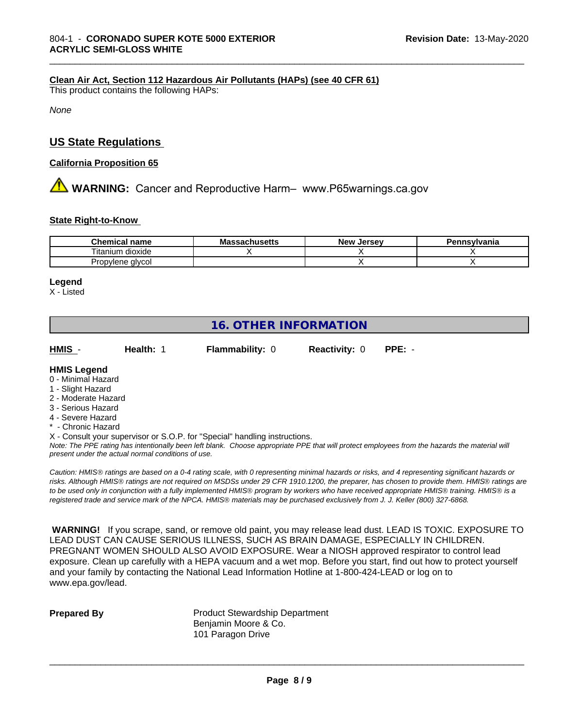#### **Clean Air Act,Section 112 Hazardous Air Pollutants (HAPs) (see 40 CFR 61)**

This product contains the following HAPs:

*None*

#### **US State Regulations**

#### **California Proposition 65**

**AVIMARNING:** Cancer and Reproductive Harm– www.P65warnings.ca.gov

#### **State Right-to-Know**

| Chemical<br>name<br>۱۳ آپ | - -<br>atilystus – | Jersev<br>Nev <sup>.</sup> | msvlvania |
|---------------------------|--------------------|----------------------------|-----------|
| dioxide<br>l itanıum      |                    |                            |           |
| Propylene alvcol          |                    |                            |           |

\_\_\_\_\_\_\_\_\_\_\_\_\_\_\_\_\_\_\_\_\_\_\_\_\_\_\_\_\_\_\_\_\_\_\_\_\_\_\_\_\_\_\_\_\_\_\_\_\_\_\_\_\_\_\_\_\_\_\_\_\_\_\_\_\_\_\_\_\_\_\_\_\_\_\_\_\_\_\_\_\_\_\_\_\_\_\_\_\_\_\_\_\_

#### **Legend**

X - Listed

### **16. OTHER INFORMATION**

**HMIS** - **Health:** 1 **Flammability:** 0 **Reactivity:** 0 **PPE:** -

#### **HMIS Legend**

- 0 Minimal Hazard
- 1 Slight Hazard
- 2 Moderate Hazard
- 3 Serious Hazard
- 4 Severe Hazard
- **Chronic Hazard**

X - Consult your supervisor or S.O.P. for "Special" handling instructions.

*Note: The PPE rating has intentionally been left blank. Choose appropriate PPE that will protect employees from the hazards the material will present under the actual normal conditions of use.*

*Caution: HMISÒ ratings are based on a 0-4 rating scale, with 0 representing minimal hazards or risks, and 4 representing significant hazards or risks. Although HMISÒ ratings are not required on MSDSs under 29 CFR 1910.1200, the preparer, has chosen to provide them. HMISÒ ratings are to be used only in conjunction with a fully implemented HMISÒ program by workers who have received appropriate HMISÒ training. HMISÒ is a registered trade and service mark of the NPCA. HMISÒ materials may be purchased exclusively from J. J. Keller (800) 327-6868.*

 **WARNING!** If you scrape, sand, or remove old paint, you may release lead dust. LEAD IS TOXIC. EXPOSURE TO LEAD DUST CAN CAUSE SERIOUS ILLNESS, SUCH AS BRAIN DAMAGE, ESPECIALLY IN CHILDREN. PREGNANT WOMEN SHOULD ALSO AVOID EXPOSURE.Wear a NIOSH approved respirator to control lead exposure. Clean up carefully with a HEPA vacuum and a wet mop. Before you start, find out how to protect yourself and your family by contacting the National Lead Information Hotline at 1-800-424-LEAD or log on to www.epa.gov/lead.

**Prepared By** Product Stewardship Department Benjamin Moore & Co. 101 Paragon Drive